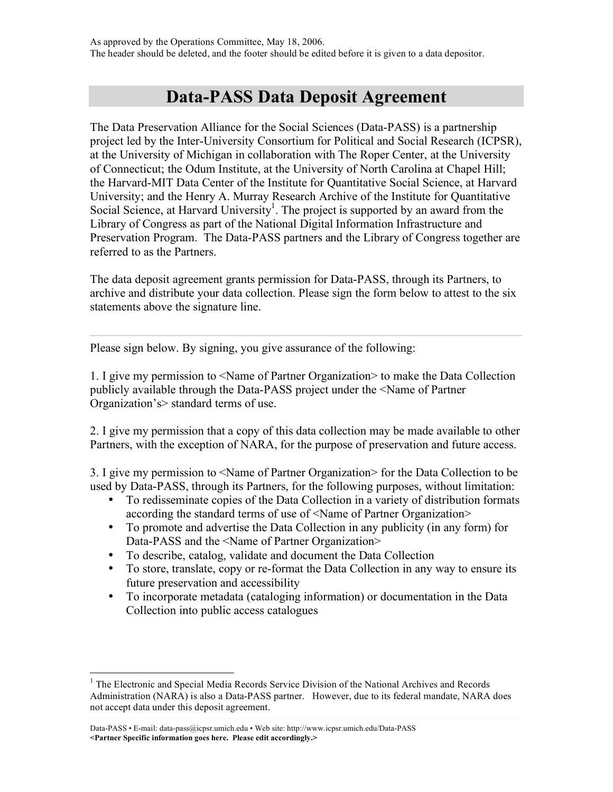## **Data-PASS Data Deposit Agreement**

The Data Preservation Alliance for the Social Sciences (Data-PASS) is a partnership project led by the Inter-University Consortium for Political and Social Research (ICPSR), at the University of Michigan in collaboration with The Roper Center, at the University of Connecticut; the Odum Institute, at the University of North Carolina at Chapel Hill; the Harvard-MIT Data Center of the Institute for Quantitative Social Science, at Harvard University; and the Henry A. Murray Research Archive of the Institute for Quantitative Social Science, at Harvard University<sup>1</sup>. The project is supported by an award from the Library of Congress as part of the National Digital Information Infrastructure and Preservation Program. The Data-PASS partners and the Library of Congress together are referred to as the Partners.

The data deposit agreement grants permission for Data-PASS, through its Partners, to archive and distribute your data collection. Please sign the form below to attest to the six statements above the signature line.

Please sign below. By signing, you give assurance of the following:

1. I give my permission to <Name of Partner Organization> to make the Data Collection publicly available through the Data-PASS project under the <Name of Partner Organization's> standard terms of use.

2. I give my permission that a copy of this data collection may be made available to other Partners, with the exception of NARA, for the purpose of preservation and future access.

3. I give my permission to <Name of Partner Organization> for the Data Collection to be used by Data-PASS, through its Partners, for the following purposes, without limitation:

- To redisseminate copies of the Data Collection in a variety of distribution formats according the standard terms of use of <Name of Partner Organization>
- To promote and advertise the Data Collection in any publicity (in any form) for Data-PASS and the <Name of Partner Organization>
- To describe, catalog, validate and document the Data Collection
- To store, translate, copy or re-format the Data Collection in any way to ensure its future preservation and accessibility
- To incorporate metadata (cataloging information) or documentation in the Data Collection into public access catalogues

<sup>&</sup>lt;sup>1</sup> The Electronic and Special Media Records Service Division of the National Archives and Records Administration (NARA) is also a Data-PASS partner. However, due to its federal mandate, NARA does not accept data under this deposit agreement.

Data-PASS • E-mail: data-pass@icpsr.umich.edu • Web site: http://www.icpsr.umich.edu/Data-PASS **<Partner Specific information goes here. Please edit accordingly.>**